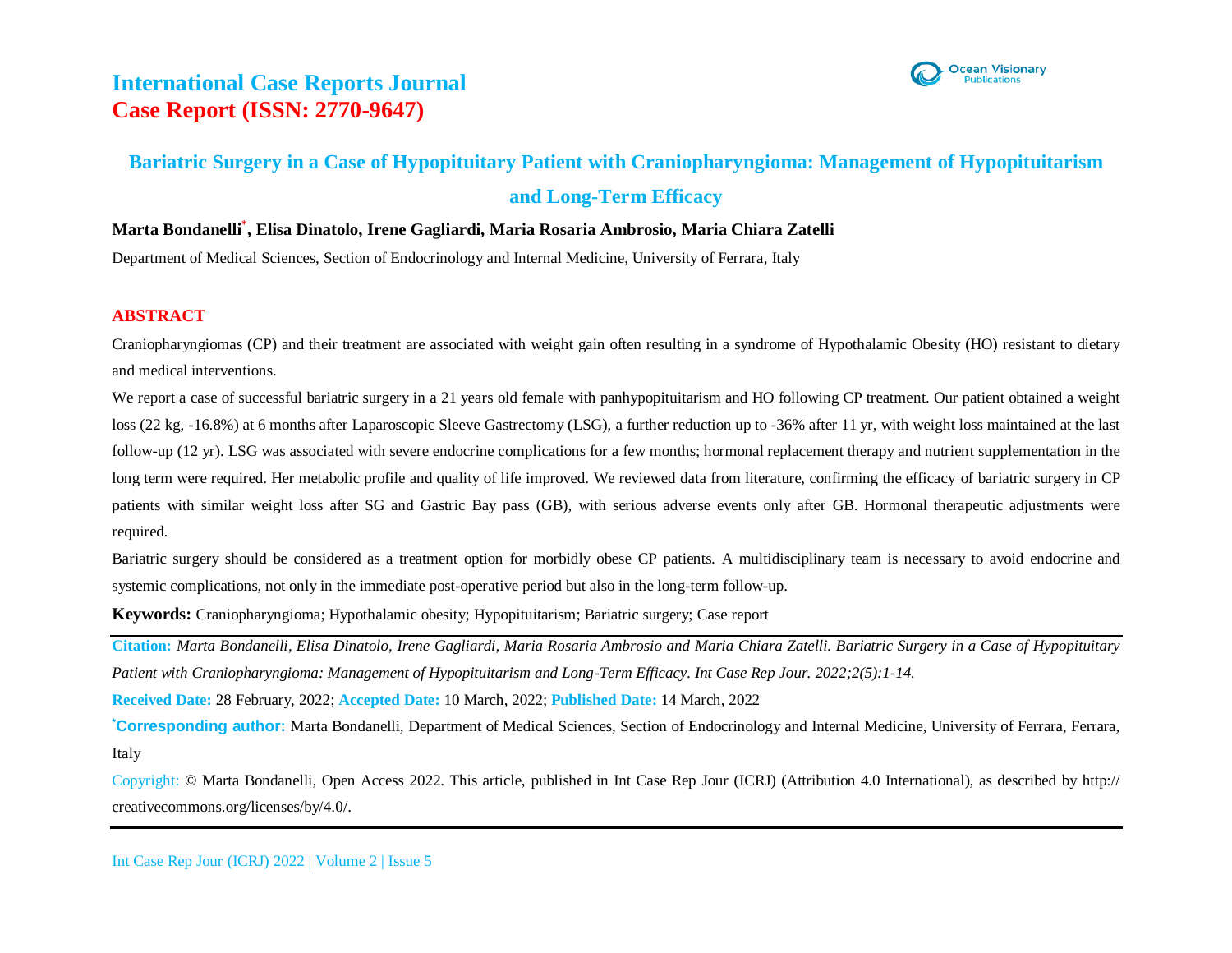

## **Bariatric Surgery in a Case of Hypopituitary Patient with Craniopharyngioma: Management of Hypopituitarism and Long-Term Efficacy**

**Marta Bondanelli\* , Elisa Dinatolo, Irene Gagliardi, Maria Rosaria Ambrosio, Maria Chiara Zatelli**

Department of Medical Sciences, Section of Endocrinology and Internal Medicine, University of Ferrara, Italy

### **ABSTRACT**

Craniopharyngiomas (CP) and their treatment are associated with weight gain often resulting in a syndrome of Hypothalamic Obesity (HO) resistant to dietary and medical interventions.

We report a case of successful bariatric surgery in a 21 years old female with panhypopituitarism and HO following CP treatment. Our patient obtained a weight loss (22 kg, -16.8%) at 6 months after Laparoscopic Sleeve Gastrectomy (LSG), a further reduction up to -36% after 11 yr, with weight loss maintained at the last follow-up (12 yr). LSG was associated with severe endocrine complications for a few months; hormonal replacement therapy and nutrient supplementation in the long term were required. Her metabolic profile and quality of life improved. We reviewed data from literature, confirming the efficacy of bariatric surgery in CP patients with similar weight loss after SG and Gastric Bay pass (GB), with serious adverse events only after GB. Hormonal therapeutic adjustments were required.

Bariatric surgery should be considered as a treatment option for morbidly obese CP patients. A multidisciplinary team is necessary to avoid endocrine and systemic complications, not only in the immediate post-operative period but also in the long-term follow-up.

**Keywords:** Craniopharyngioma; Hypothalamic obesity; Hypopituitarism; Bariatric surgery; Case report

**Citation:** *Marta Bondanelli, Elisa Dinatolo, Irene Gagliardi, Maria Rosaria Ambrosio and Maria Chiara Zatelli. Bariatric Surgery in a Case of Hypopituitary Patient with Craniopharyngioma: Management of Hypopituitarism and Long-Term Efficacy. Int Case Rep Jour. 2022;2(5):1-14.*

**Received Date:** 28 February, 2022; **Accepted Date:** 10 March, 2022; **Published Date:** 14 March, 2022

**\*Corresponding author:** Marta Bondanelli, Department of Medical Sciences, Section of Endocrinology and Internal Medicine, University of Ferrara, Ferrara, Italy

Copyright: © Marta Bondanelli, Open Access 2022. This article, published in Int Case Rep Jour (ICRJ) (Attribution 4.0 International), as described by http:// creativecommons.org/licenses/by/4.0/.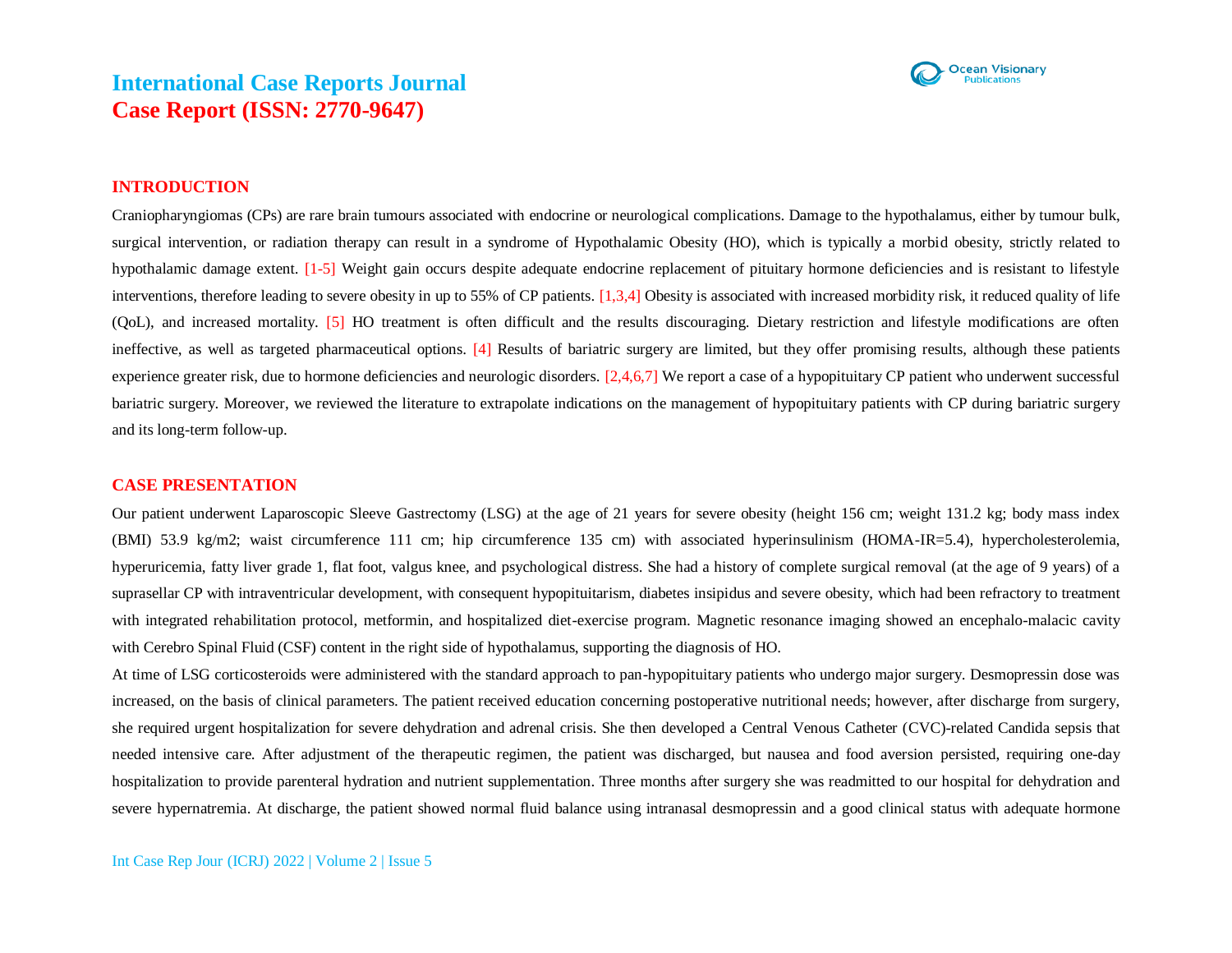

### **INTRODUCTION**

Craniopharyngiomas (CPs) are rare brain tumours associated with endocrine or neurological complications. Damage to the hypothalamus, either by tumour bulk, surgical intervention, or radiation therapy can result in a syndrome of Hypothalamic Obesity (HO), which is typically a morbid obesity, strictly related to hypothalamic damage extent. [1-5] Weight gain occurs despite adequate endocrine replacement of pituitary hormone deficiencies and is resistant to lifestyle interventions, therefore leading to severe obesity in up to 55% of CP patients. [1,3,4] Obesity is associated with increased morbidity risk, it reduced quality of life (QoL), and increased mortality. [5] HO treatment is often difficult and the results discouraging. Dietary restriction and lifestyle modifications are often ineffective, as well as targeted pharmaceutical options. [4] Results of bariatric surgery are limited, but they offer promising results, although these patients experience greater risk, due to hormone deficiencies and neurologic disorders. [2,4,6,7] We report a case of a hypopituitary CP patient who underwent successful bariatric surgery. Moreover, we reviewed the literature to extrapolate indications on the management of hypopituitary patients with CP during bariatric surgery and its long-term follow-up.

#### **CASE PRESENTATION**

Our patient underwent Laparoscopic Sleeve Gastrectomy (LSG) at the age of 21 years for severe obesity (height 156 cm; weight 131.2 kg; body mass index (BMI) 53.9 kg/m2; waist circumference 111 cm; hip circumference 135 cm) with associated hyperinsulinism (HOMA-IR=5.4), hypercholesterolemia, hyperuricemia, fatty liver grade 1, flat foot, valgus knee, and psychological distress. She had a history of complete surgical removal (at the age of 9 years) of a suprasellar CP with intraventricular development, with consequent hypopituitarism, diabetes insipidus and severe obesity, which had been refractory to treatment with integrated rehabilitation protocol, metformin, and hospitalized diet-exercise program. Magnetic resonance imaging showed an encephalo-malacic cavity with Cerebro Spinal Fluid (CSF) content in the right side of hypothalamus, supporting the diagnosis of HO.

At time of LSG corticosteroids were administered with the standard approach to pan-hypopituitary patients who undergo major surgery. Desmopressin dose was increased, on the basis of clinical parameters. The patient received education concerning postoperative nutritional needs; however, after discharge from surgery, she required urgent hospitalization for severe dehydration and adrenal crisis. She then developed a Central Venous Catheter (CVC)-related Candida sepsis that needed intensive care. After adjustment of the therapeutic regimen, the patient was discharged, but nausea and food aversion persisted, requiring one-day hospitalization to provide parenteral hydration and nutrient supplementation. Three months after surgery she was readmitted to our hospital for dehydration and severe hypernatremia. At discharge, the patient showed normal fluid balance using intranasal desmopressin and a good clinical status with adequate hormone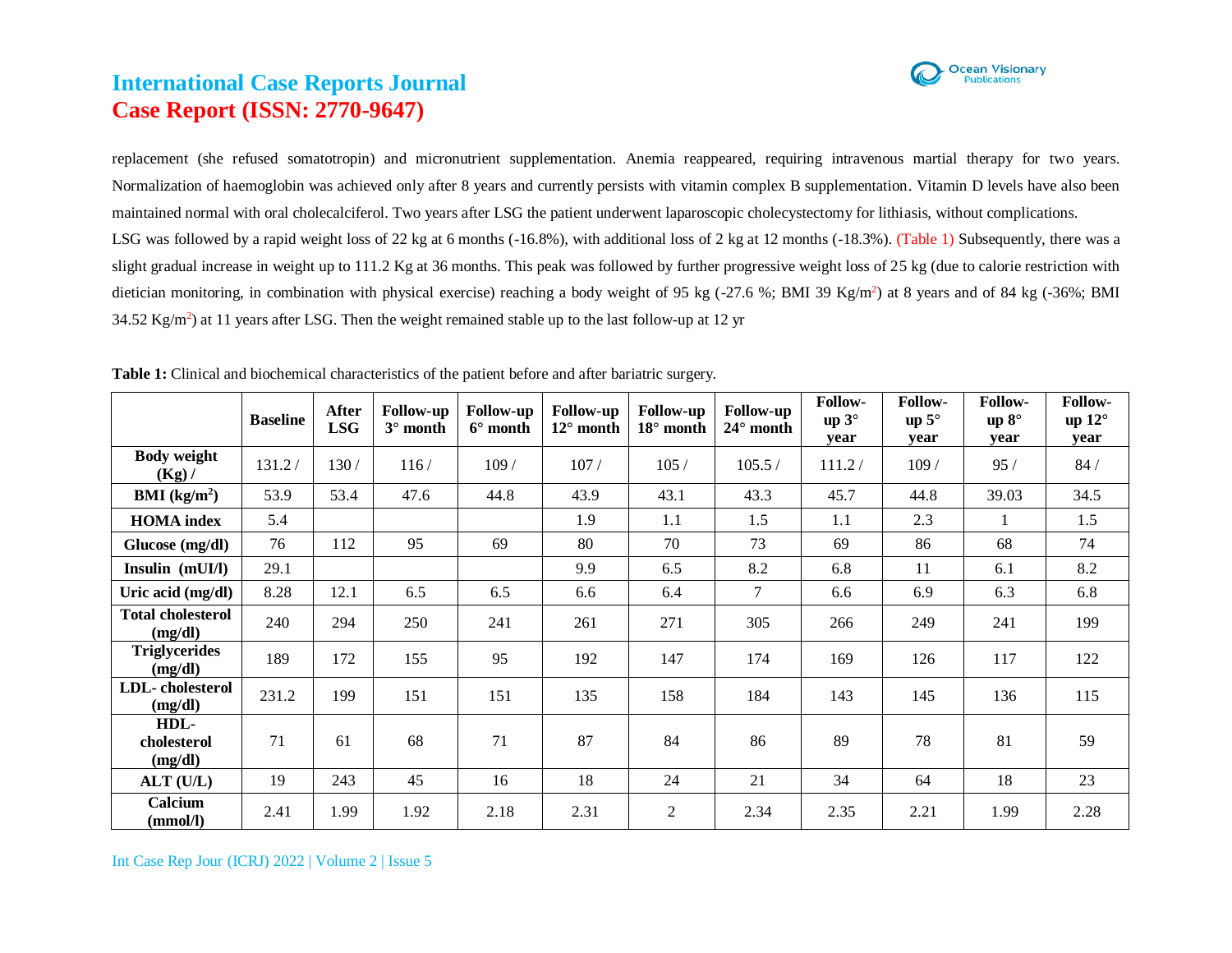

replacement (she refused somatotropin) and micronutrient supplementation. Anemia reappeared, requiring intravenous martial therapy for two years. Normalization of haemoglobin was achieved only after 8 years and currently persists with vitamin complex B supplementation. Vitamin D levels have also been maintained normal with oral cholecalciferol. Two years after LSG the patient underwent laparoscopic cholecystectomy for lithiasis, without complications. LSG was followed by a rapid weight loss of 22 kg at 6 months (-16.8%), with additional loss of 2 kg at 12 months (-18.3%). (Table 1) Subsequently, there was a slight gradual increase in weight up to 111.2 Kg at 36 months. This peak was followed by further progressive weight loss of 25 kg (due to calorie restriction with dietician monitoring, in combination with physical exercise) reaching a body weight of 95 kg (-27.6 %; BMI 39 Kg/m<sup>2</sup>) at 8 years and of 84 kg (-36%; BMI 34.52 Kg/m<sup>2</sup>) at 11 years after LSG. Then the weight remained stable up to the last follow-up at 12 yr

|                                     | <b>Baseline</b> | After<br><b>LSG</b> | <b>Follow-up</b><br>$3^\circ$ month | <b>Follow-up</b><br>$6^\circ$ month | <b>Follow-up</b><br>$12^{\circ}$ month | Follow-up<br>$18^{\circ}$ month | Follow-up<br>$24^{\circ}$ month | Follow-<br>up $3^\circ$<br>year | <b>Follow-</b><br>up $5^\circ$<br>vear | <b>Follow-</b><br>up $8^\circ$<br>vear | <b>Follow-</b><br>up $12^{\circ}$<br>year |
|-------------------------------------|-----------------|---------------------|-------------------------------------|-------------------------------------|----------------------------------------|---------------------------------|---------------------------------|---------------------------------|----------------------------------------|----------------------------------------|-------------------------------------------|
| <b>Body weight</b><br>$(Kg)$ /      | 131.2/          | 130/                | 116/                                | 109/                                | 107/                                   | 105/                            | 105.5/                          | 111.2/                          | 109/                                   | 95/                                    | 84/                                       |
| <b>BMI</b> ( $kg/m2$ )              | 53.9            | 53.4                | 47.6                                | 44.8                                | 43.9                                   | 43.1                            | 43.3                            | 45.7                            | 44.8                                   | 39.03                                  | 34.5                                      |
| <b>HOMA</b> index                   | 5.4             |                     |                                     |                                     | 1.9                                    | 1.1                             | 1.5                             | 1.1                             | 2.3                                    | 1                                      | 1.5                                       |
| Glucose (mg/dl)                     | 76              | 112                 | 95                                  | 69                                  | 80                                     | 70                              | 73                              | 69                              | 86                                     | 68                                     | 74                                        |
| Insulin (mUI/l)                     | 29.1            |                     |                                     |                                     | 9.9                                    | 6.5                             | 8.2                             | 6.8                             | 11                                     | 6.1                                    | 8.2                                       |
| Uric acid (mg/dl)                   | 8.28            | 12.1                | 6.5                                 | 6.5                                 | 6.6                                    | 6.4                             | $\overline{7}$                  | 6.6                             | 6.9                                    | 6.3                                    | 6.8                                       |
| <b>Total cholesterol</b><br>(mg/dl) | 240             | 294                 | 250                                 | 241                                 | 261                                    | 271                             | 305                             | 266                             | 249                                    | 241                                    | 199                                       |
| <b>Triglycerides</b><br>(mg/dl)     | 189             | 172                 | 155                                 | 95                                  | 192                                    | 147                             | 174                             | 169                             | 126                                    | 117                                    | 122                                       |
| LDL-cholesterol<br>(mg/dl)          | 231.2           | 199                 | 151                                 | 151                                 | 135                                    | 158                             | 184                             | 143                             | 145                                    | 136                                    | 115                                       |
| HDL-<br>cholesterol<br>(mg/dl)      | 71              | 61                  | 68                                  | 71                                  | 87                                     | 84                              | 86                              | 89                              | 78                                     | 81                                     | 59                                        |
| $ALT$ (U/L)                         | 19              | 243                 | 45                                  | 16                                  | 18                                     | 24                              | 21                              | 34                              | 64                                     | 18                                     | 23                                        |
| Calcium<br>(mmol/l)                 | 2.41            | 1.99                | 1.92                                | 2.18                                | 2.31                                   | $\mathfrak{2}$                  | 2.34                            | 2.35                            | 2.21                                   | 1.99                                   | 2.28                                      |

**Table 1:** Clinical and biochemical characteristics of the patient before and after bariatric surgery.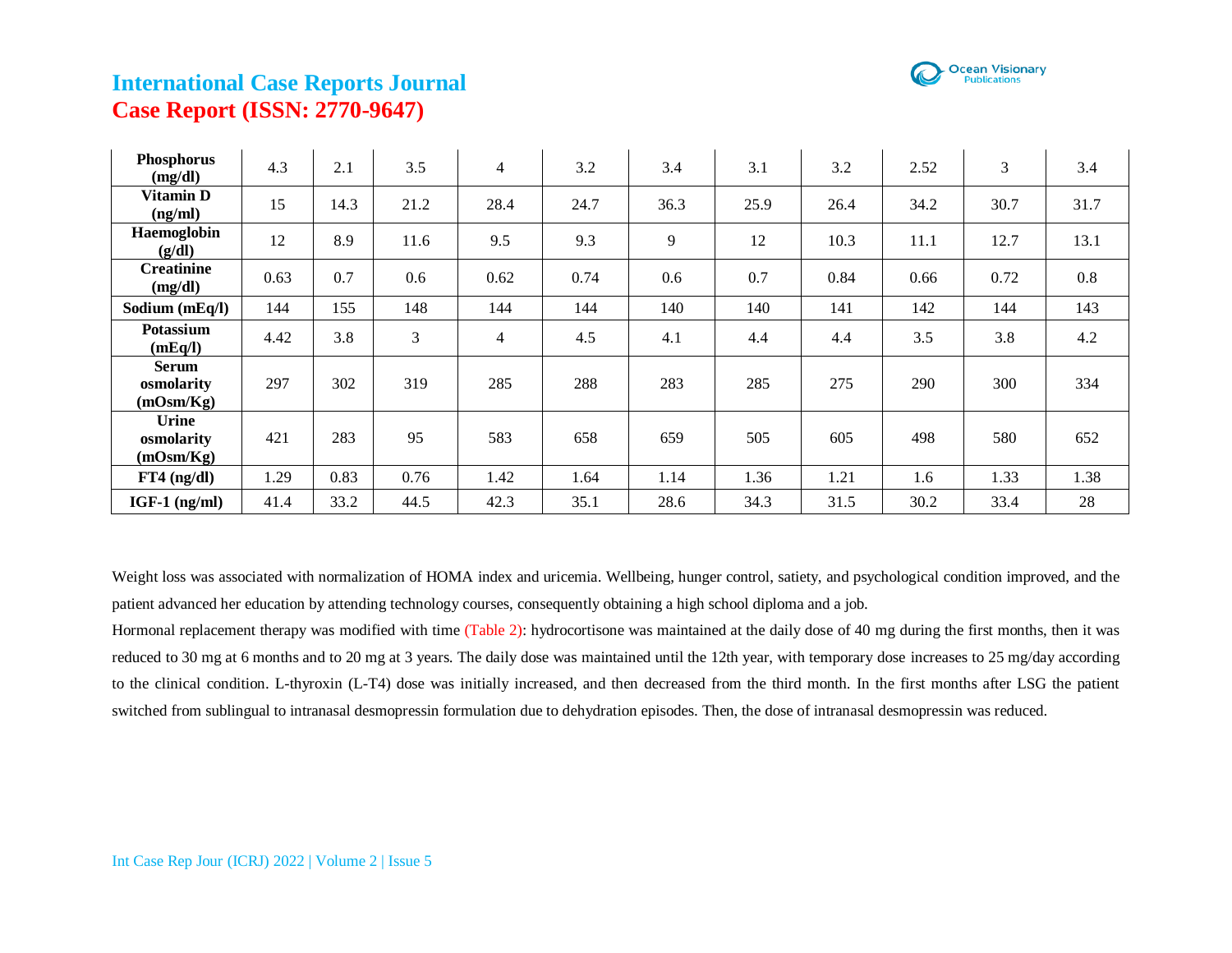

| Phosphorus<br>(mg/dl)                   | 4.3  | 2.1  | 3.5  | $\overline{4}$ | 3.2  | 3.4  | 3.1  | 3.2  | 2.52 | 3    | 3.4  |
|-----------------------------------------|------|------|------|----------------|------|------|------|------|------|------|------|
| Vitamin D<br>(ng/ml)                    | 15   | 14.3 | 21.2 | 28.4           | 24.7 | 36.3 | 25.9 | 26.4 | 34.2 | 30.7 | 31.7 |
| Haemoglobin<br>(g/dl)                   | 12   | 8.9  | 11.6 | 9.5            | 9.3  | 9    | 12   | 10.3 | 11.1 | 12.7 | 13.1 |
| <b>Creatinine</b><br>(mg/dl)            | 0.63 | 0.7  | 0.6  | 0.62           | 0.74 | 0.6  | 0.7  | 0.84 | 0.66 | 0.72 | 0.8  |
| Sodium (mEq/l)                          | 144  | 155  | 148  | 144            | 144  | 140  | 140  | 141  | 142  | 144  | 143  |
| Potassium<br>(mEq/I)                    | 4.42 | 3.8  | 3    | $\overline{4}$ | 4.5  | 4.1  | 4.4  | 4.4  | 3.5  | 3.8  | 4.2  |
| <b>Serum</b><br>osmolarity<br>(mOsm/Kg) | 297  | 302  | 319  | 285            | 288  | 283  | 285  | 275  | 290  | 300  | 334  |
| <b>Urine</b><br>osmolarity<br>(mOsm/Kg) | 421  | 283  | 95   | 583            | 658  | 659  | 505  | 605  | 498  | 580  | 652  |
| $FT4$ (ng/dl)                           | 1.29 | 0.83 | 0.76 | 1.42           | 1.64 | 1.14 | 1.36 | 1.21 | 1.6  | 1.33 | 1.38 |
| $IGF-1$ (ng/ml)                         | 41.4 | 33.2 | 44.5 | 42.3           | 35.1 | 28.6 | 34.3 | 31.5 | 30.2 | 33.4 | 28   |

Weight loss was associated with normalization of HOMA index and uricemia. Wellbeing, hunger control, satiety, and psychological condition improved, and the patient advanced her education by attending technology courses, consequently obtaining a high school diploma and a job.

Hormonal replacement therapy was modified with time (Table 2): hydrocortisone was maintained at the daily dose of 40 mg during the first months, then it was reduced to 30 mg at 6 months and to 20 mg at 3 years. The daily dose was maintained until the 12th year, with temporary dose increases to 25 mg/day according to the clinical condition. L-thyroxin (L-T4) dose was initially increased, and then decreased from the third month. In the first months after LSG the patient switched from sublingual to intranasal desmopressin formulation due to dehydration episodes. Then, the dose of intranasal desmopressin was reduced.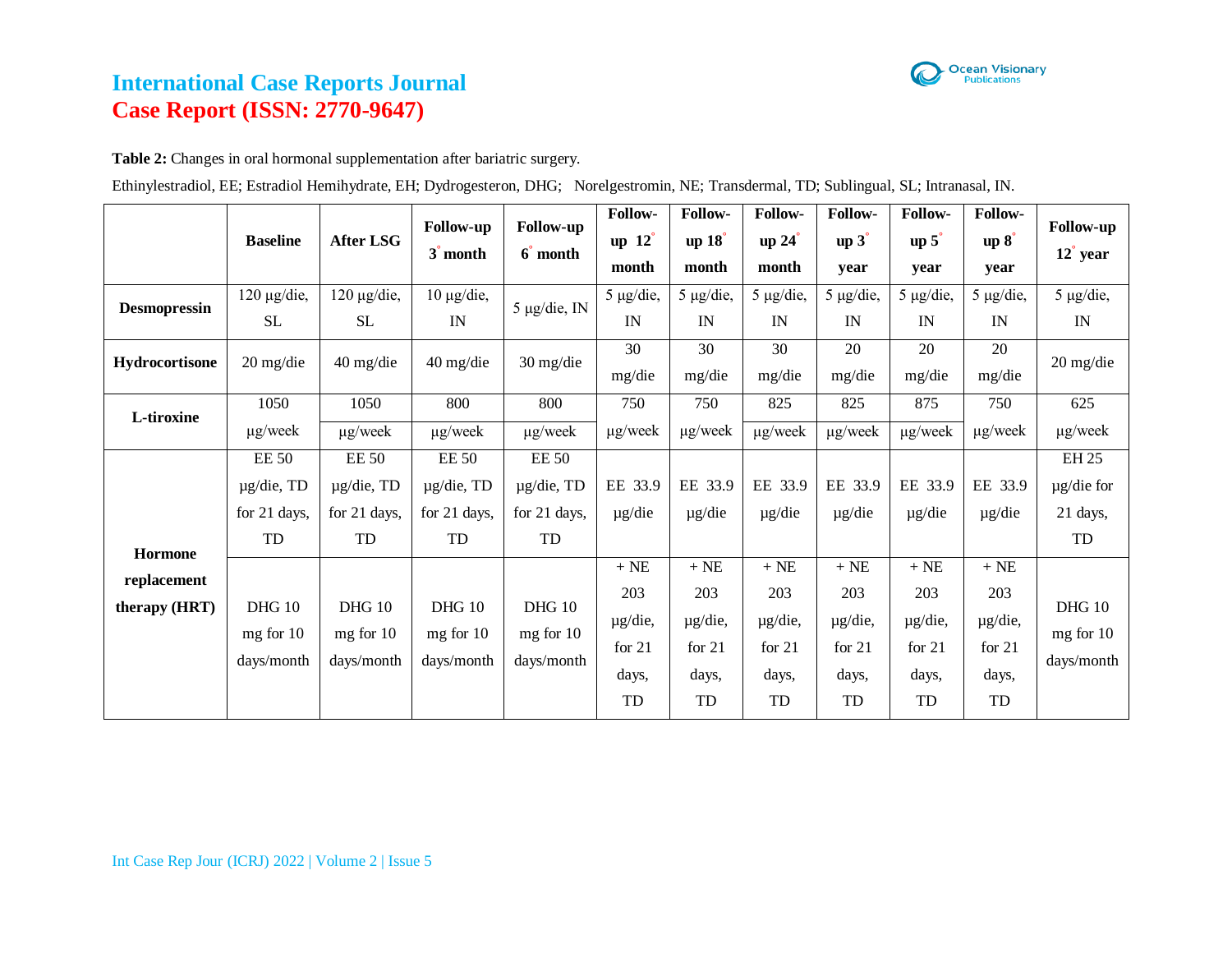

**Table 2:** Changes in oral hormonal supplementation after bariatric surgery.

|  |  |  |  |  |  | Ethinylestradiol, EE; Estradiol Hemihydrate, EH; Dydrogesteron, DHG; Norelgestromin, NE; Transdermal, TD; Sublingual, SL; Intranasal, IN. |  |  |  |
|--|--|--|--|--|--|-------------------------------------------------------------------------------------------------------------------------------------------|--|--|--|
|  |  |  |  |  |  |                                                                                                                                           |  |  |  |

|                              | <b>Baseline</b>                                       | <b>After LSG</b>                                      | <b>Follow-up</b><br>3 <sup>'</sup> month              | <b>Follow-up</b><br>6 <sup>month</sup>                | Follow-<br>up $12^\circ$<br>month                      | Follow-<br>up $18^\circ$<br>month                      | Follow-<br>up 24<br>month                            | Follow-<br>$up\ 3^{\degree}$<br>year               | Follow-<br>$up\$<br>year                           | Follow-<br>$up~8^\circ$<br>year                    | <b>Follow-up</b><br>$12^{\degree}$ year      |
|------------------------------|-------------------------------------------------------|-------------------------------------------------------|-------------------------------------------------------|-------------------------------------------------------|--------------------------------------------------------|--------------------------------------------------------|------------------------------------------------------|----------------------------------------------------|----------------------------------------------------|----------------------------------------------------|----------------------------------------------|
| <b>Desmopressin</b>          | $120 \mu g$ /die,<br><b>SL</b>                        | $120 \mu g$ /die,<br><b>SL</b>                        | $10 \mu g$ /die,<br>IN                                | $5 \mu g$ /die, IN                                    | $5 \mu g$ /die,<br>IN                                  | $5 \mu g$ /die,<br>IN                                  | $5 \mu g / \text{die}$ ,<br>IN                       | $5 \mu g/die$ ,<br>IN                              | $5 \mu g$ /die,<br>IN                              | $5 \mu g$ /die,<br>IN                              | 5 µg/die,<br>IN                              |
| <b>Hydrocortisone</b>        | $20 \frac{\text{mg}}{\text{die}}$                     | $40 \frac{\text{mg}}{\text{die}}$                     | $40 \text{ mg/die}$                                   | 30 mg/die                                             | 30<br>mg/die                                           | 30<br>mg/die                                           | 30<br>mg/die                                         | 20<br>mg/die                                       | 20<br>mg/die                                       | 20<br>mg/die                                       | 20 mg/die                                    |
| L-tiroxine                   | 1050<br>$\mu$ g/week                                  | 1050<br>$\mu$ g/week                                  | 800<br>$\mu$ g/week                                   | 800<br>$\mu$ g/week                                   | 750<br>$\mu$ g/week                                    | 750<br>$\mu$ g/week                                    | 825<br>µg/week                                       | 825<br>$\mu$ g/week                                | 875<br>$\mu$ g/week                                | 750<br>$\mu$ g/week                                | 625<br>$\mu$ g/week                          |
| <b>Hormone</b>               | <b>EE 50</b><br>$\mu$ g/die, TD<br>for 21 days,<br>TD | <b>EE 50</b><br>$\mu$ g/die, TD<br>for 21 days,<br>TD | <b>EE 50</b><br>$\mu$ g/die, TD<br>for 21 days,<br>TD | <b>EE 50</b><br>$\mu$ g/die, TD<br>for 21 days,<br>TD | EE 33.9<br>$\mu$ g/die                                 | EE 33.9<br>$\mu$ g/die                                 | EE 33.9<br>$\mu$ g/die                               | EE 33.9<br>$\mu$ g/die                             | EE 33.9<br>$\mu$ g/die                             | EE 33.9<br>$\mu$ g/die                             | <b>EH 25</b><br>µg/die for<br>21 days,<br>TD |
| replacement<br>therapy (HRT) | <b>DHG 10</b><br>$mg$ for 10<br>days/month            | <b>DHG 10</b><br>mg for 10<br>days/month              | <b>DHG 10</b><br>mg for 10<br>days/month              | <b>DHG 10</b><br>$mg$ for 10<br>days/month            | $\, +$ NE<br>203<br>µg/die,<br>for $21$<br>days,<br>TD | $\,+\,NE$<br>203<br>µg/die,<br>for $21$<br>days,<br>TD | $\,+\,NE$<br>203<br>µg/die,<br>for 21<br>days,<br>TD | $+NE$<br>203<br>µg/die,<br>for $21$<br>days,<br>TD | $+NE$<br>203<br>µg/die,<br>for $21$<br>days,<br>TD | $+NE$<br>203<br>µg/die,<br>for $21$<br>days,<br>TD | <b>DHG 10</b><br>$mg$ for 10<br>days/month   |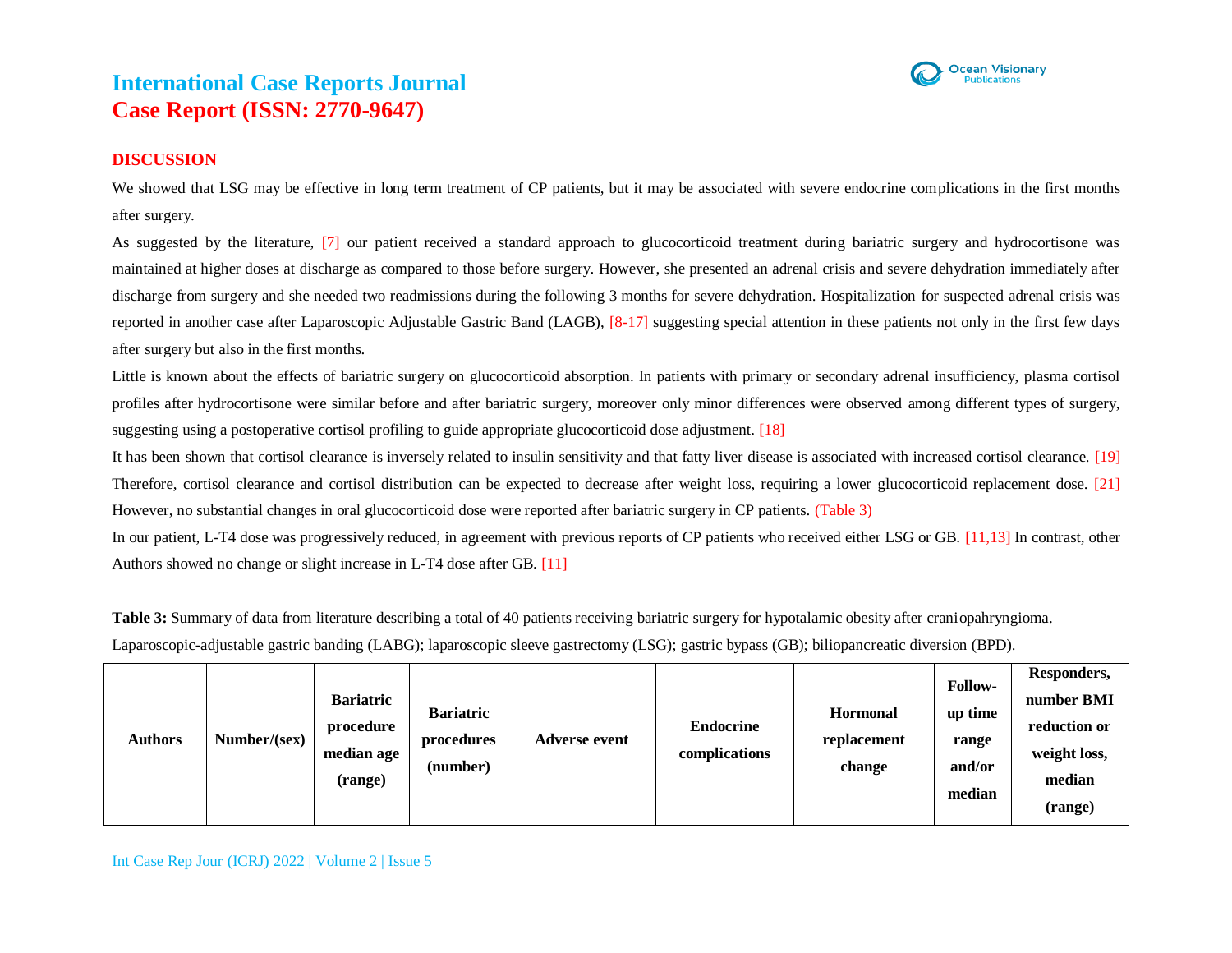

### **DISCUSSION**

We showed that LSG may be effective in long term treatment of CP patients, but it may be associated with severe endocrine complications in the first months after surgery.

As suggested by the literature, [7] our patient received a standard approach to glucocorticoid treatment during bariatric surgery and hydrocortisone was maintained at higher doses at discharge as compared to those before surgery. However, she presented an adrenal crisis and severe dehydration immediately after discharge from surgery and she needed two readmissions during the following 3 months for severe dehydration. Hospitalization for suspected adrenal crisis was reported in another case after Laparoscopic Adjustable Gastric Band (LAGB), [8-17] suggesting special attention in these patients not only in the first few days after surgery but also in the first months.

Little is known about the effects of bariatric surgery on glucocorticoid absorption. In patients with primary or secondary adrenal insufficiency, plasma cortisol profiles after hydrocortisone were similar before and after bariatric surgery, moreover only minor differences were observed among different types of surgery, suggesting using a postoperative cortisol profiling to guide appropriate glucocorticoid dose adjustment. [18]

It has been shown that cortisol clearance is inversely related to insulin sensitivity and that fatty liver disease is associated with increased cortisol clearance. [19] Therefore, cortisol clearance and cortisol distribution can be expected to decrease after weight loss, requiring a lower glucocorticoid replacement dose. [21] However, no substantial changes in oral glucocorticoid dose were reported after bariatric surgery in CP patients. (Table 3)

In our patient, L-T4 dose was progressively reduced, in agreement with previous reports of CP patients who received either LSG or GB. [11,13] In contrast, other Authors showed no change or slight increase in L-T4 dose after GB. [11]

**Table 3:** Summary of data from literature describing a total of 40 patients receiving bariatric surgery for hypotalamic obesity after craniopahryngioma. Laparoscopic-adjustable gastric banding (LABG); laparoscopic sleeve gastrectomy (LSG); gastric bypass (GB); biliopancreatic diversion (BPD).

| <b>Authors</b> | Number/(sex) | <b>Bariatric</b><br>procedure<br>median age<br>(range) | <b>Bariatric</b><br>procedures<br>(number) | <b>Adverse event</b> | <b>Endocrine</b><br>complications | <b>Hormonal</b><br>replacement<br>change | <b>Follow-</b><br>up time<br>range<br>and/or<br>median | Responders,<br>number BMI<br>reduction or<br>weight loss,<br>median<br>(range) |
|----------------|--------------|--------------------------------------------------------|--------------------------------------------|----------------------|-----------------------------------|------------------------------------------|--------------------------------------------------------|--------------------------------------------------------------------------------|
|----------------|--------------|--------------------------------------------------------|--------------------------------------------|----------------------|-----------------------------------|------------------------------------------|--------------------------------------------------------|--------------------------------------------------------------------------------|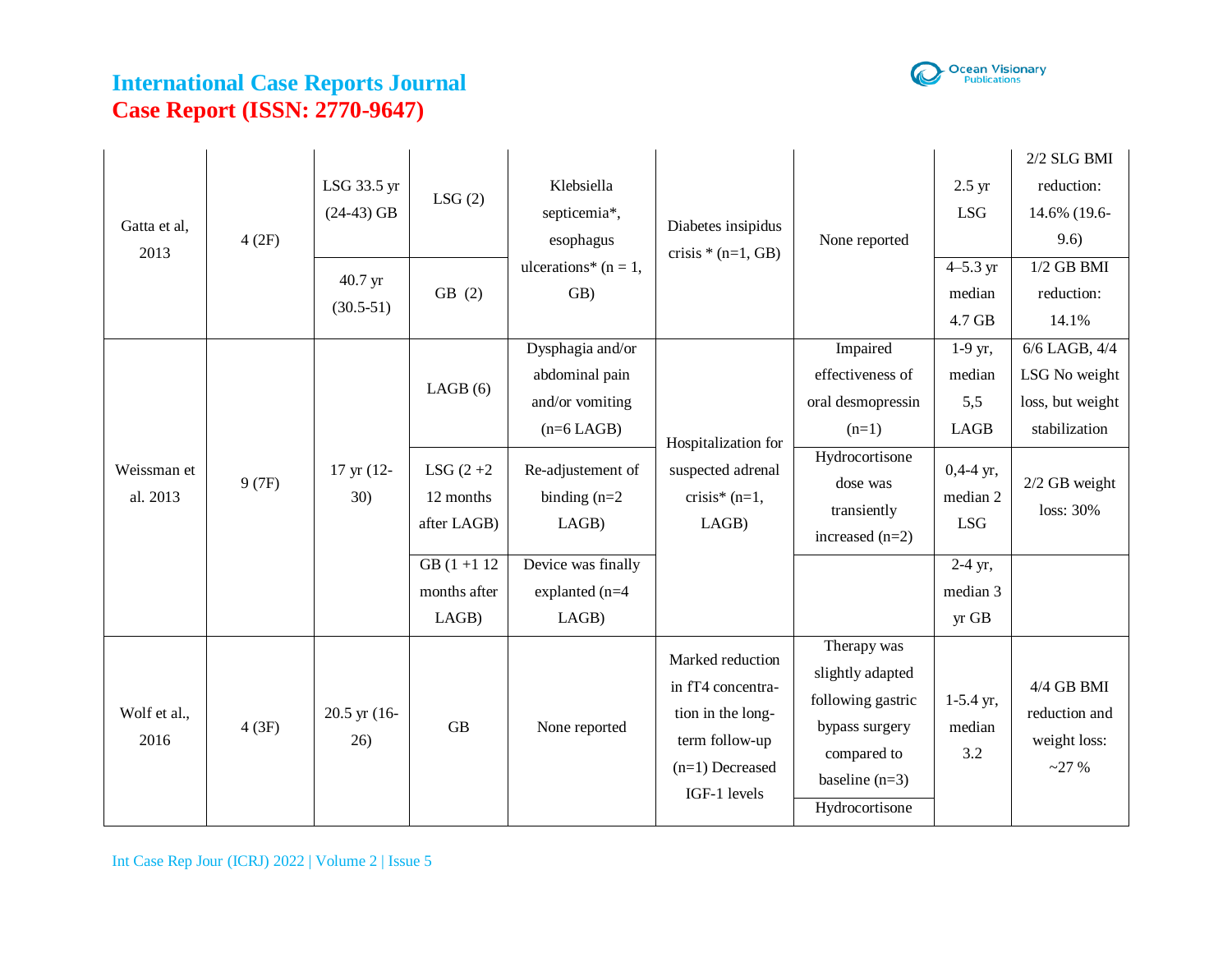

| Gatta et al,<br>2013 | 4(2F)                   | LSG 33.5 yr<br>$(24-43)$ GB | LSG(2)                 | Klebsiella<br>septicemia*,<br>esophagus | Diabetes insipidus<br>crisis $*(n=1, GB)$                             | None reported                                                                                                     | $2.5 \text{ yr}$<br>reduction:<br><b>LSG</b><br>9.6)<br>$4 - 5.3$ yr<br>median<br>reduction:<br>4.7 GB<br>14.1%<br>$1-9$ yr,<br>median<br>5,5<br><b>LAGB</b><br>$0,4-4$ yr,<br>median 2<br>loss: 30%<br><b>LSG</b><br>2-4 yr,<br>median 3<br>yr GB<br>$1-5.4$ yr,<br>median<br>3.2 | $2/2$ SLG BMI<br>14.6% (19.6- |                                                                         |
|----------------------|-------------------------|-----------------------------|------------------------|-----------------------------------------|-----------------------------------------------------------------------|-------------------------------------------------------------------------------------------------------------------|------------------------------------------------------------------------------------------------------------------------------------------------------------------------------------------------------------------------------------------------------------------------------------|-------------------------------|-------------------------------------------------------------------------|
|                      |                         |                             | 40.7 yr<br>$(30.5-51)$ | GB(2)                                   | ulcerations* ( $n = 1$ ,<br>GB)                                       |                                                                                                                   |                                                                                                                                                                                                                                                                                    |                               | $1/2$ GB BMI                                                            |
|                      |                         |                             |                        | LAGB(6)                                 | Dysphagia and/or<br>abdominal pain<br>and/or vomiting<br>$(n=6$ LAGB) | Hospitalization for                                                                                               | Impaired<br>effectiveness of<br>oral desmopressin<br>$(n=1)$                                                                                                                                                                                                                       |                               | $6/6$ LAGB, $4/4$<br>LSG No weight<br>loss, but weight<br>stabilization |
|                      | Weissman et<br>al. 2013 | 9(7F)                       | 17 yr (12-<br>30)      | LSG $(2+2)$<br>12 months<br>after LAGB) | Re-adjustement of<br>binding $(n=2)$<br>LAGB)                         | suspected adrenal<br>crisis* $(n=1,$<br>LAGB)                                                                     | Hydrocortisone<br>dose was<br>transiently<br>increased $(n=2)$                                                                                                                                                                                                                     |                               | 2/2 GB weight                                                           |
|                      |                         |                             |                        | $GB(1 + 1)2$<br>months after<br>LAGB)   | Device was finally<br>explanted (n=4<br>LAGB)                         |                                                                                                                   |                                                                                                                                                                                                                                                                                    |                               |                                                                         |
|                      | Wolf et al.,<br>2016    | 4(3F)                       | 20.5 yr (16-<br>26)    | <b>GB</b>                               | None reported                                                         | Marked reduction<br>in fT4 concentra-<br>tion in the long-<br>term follow-up<br>$(n=1)$ Decreased<br>IGF-1 levels | Therapy was<br>slightly adapted<br>following gastric<br>bypass surgery<br>compared to<br>baseline $(n=3)$<br>Hydrocortisone                                                                                                                                                        |                               | $4/4$ GB BMI<br>reduction and<br>weight loss:<br>~27%                   |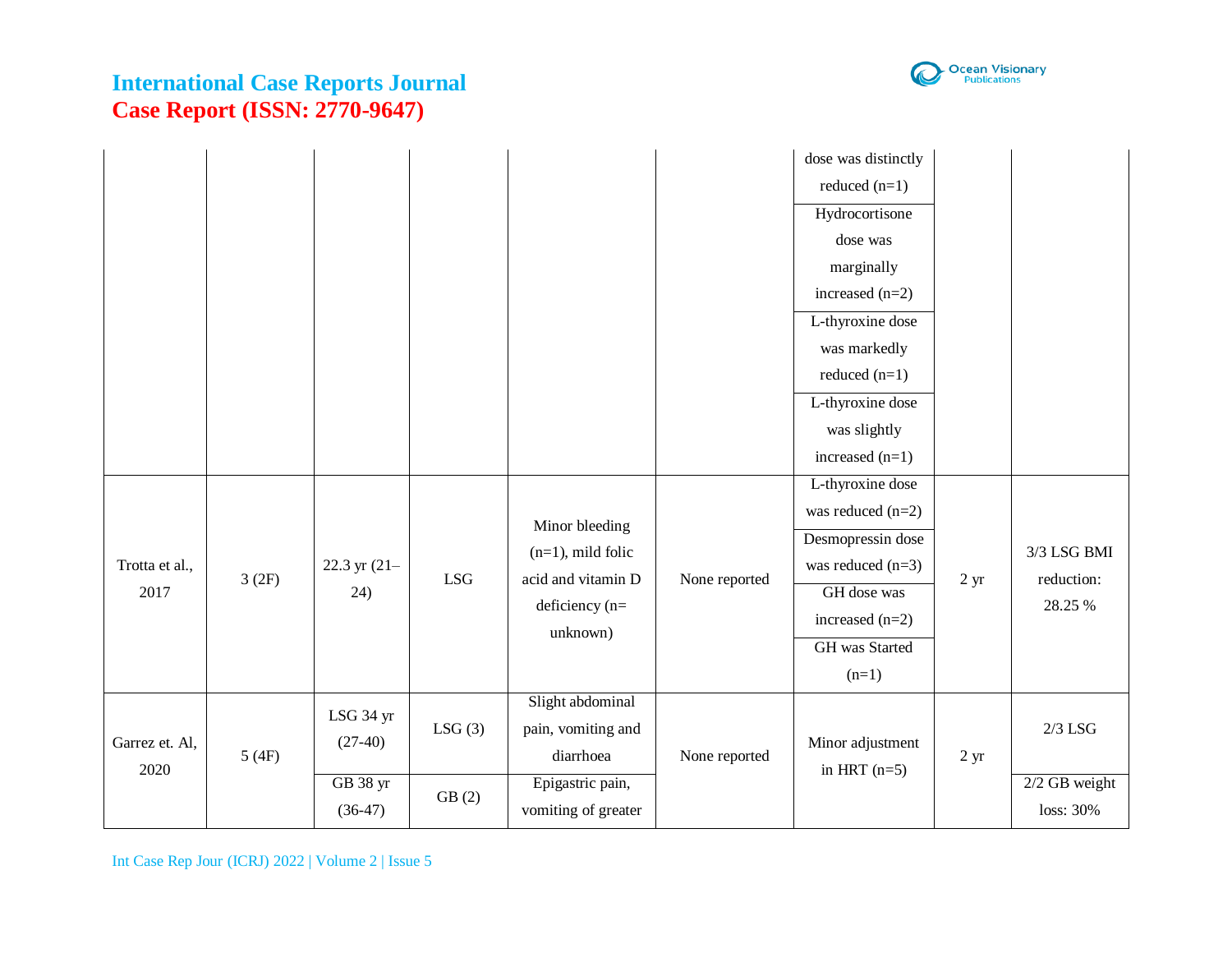

|                        |         |                                                 |                 |                                                                                                |               | dose was distinctly<br>reduced $(n=1)$<br>Hydrocortisone<br>dose was<br>marginally<br>increased $(n=2)$<br>L-thyroxine dose<br>was markedly<br>reduced $(n=1)$<br>L-thyroxine dose<br>was slightly<br>increased $(n=1)$ |                |                                           |
|------------------------|---------|-------------------------------------------------|-----------------|------------------------------------------------------------------------------------------------|---------------|-------------------------------------------------------------------------------------------------------------------------------------------------------------------------------------------------------------------------|----------------|-------------------------------------------|
| Trotta et al.,<br>2017 | 3(2F)   | 22.3 yr $(21 -$<br>(24)                         | <b>LSG</b>      | Minor bleeding<br>$(n=1)$ , mild folic<br>acid and vitamin D<br>deficiency $(n=$<br>unknown)   | None reported | L-thyroxine dose<br>was reduced $(n=2)$<br>Desmopressin dose<br>was reduced $(n=3)$<br>GH dose was<br>increased $(n=2)$<br>GH was Started<br>$(n=1)$                                                                    | $2 \text{ yr}$ | 3/3 LSG BMI<br>reduction:<br>28.25 %      |
| Garrez et. Al,<br>2020 | $5(4F)$ | LSG 34 yr<br>$(27-40)$<br>GB 38 yr<br>$(36-47)$ | LSG(3)<br>GB(2) | Slight abdominal<br>pain, vomiting and<br>diarrhoea<br>Epigastric pain,<br>vomiting of greater | None reported | Minor adjustment<br>in HRT $(n=5)$                                                                                                                                                                                      | $2 \text{ yr}$ | $2/3$ LSG<br>$2/2$ GB weight<br>loss: 30% |

Int Case Rep Jour (ICRJ) 2022 | Volume 2 | Issue 5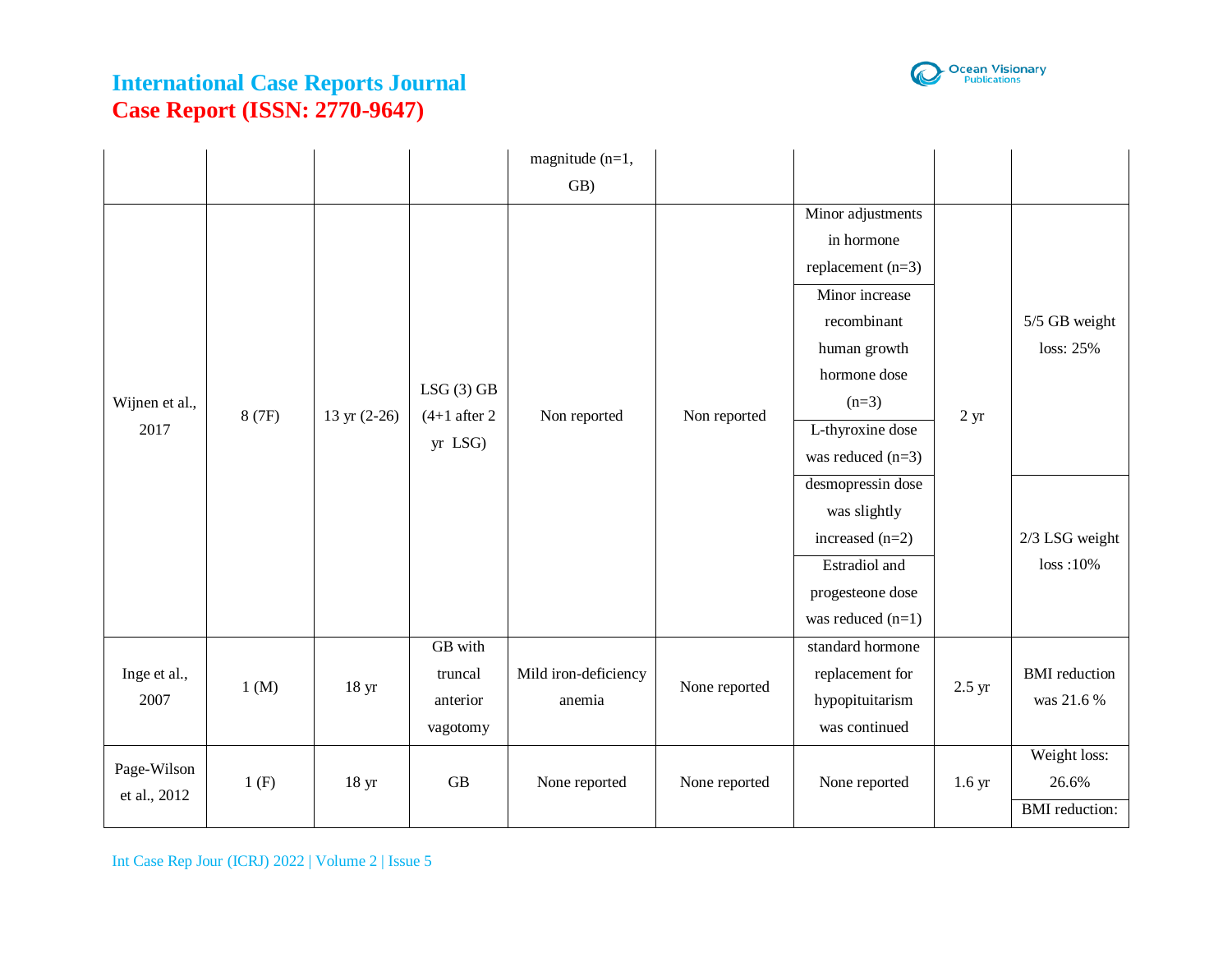

|                |        |                  |                | magnitude $(n=1,$    |               |                      |                   |                       |
|----------------|--------|------------------|----------------|----------------------|---------------|----------------------|-------------------|-----------------------|
|                |        |                  |                | GB)                  |               |                      |                   |                       |
|                |        |                  |                |                      |               | Minor adjustments    |                   |                       |
|                |        |                  |                |                      |               | in hormone           |                   |                       |
|                |        |                  |                |                      |               | replacement $(n=3)$  |                   |                       |
|                |        |                  |                |                      |               | Minor increase       |                   |                       |
|                |        |                  |                |                      |               | recombinant          |                   | 5/5 GB weight         |
|                |        |                  |                |                      |               | human growth         |                   | loss: 25%             |
|                |        |                  | LSG(3) GB      |                      |               | hormone dose         |                   |                       |
| Wijnen et al., | 8 (7F) | 13 yr $(2-26)$   | $(4+1$ after 2 | Non reported         | Non reported  | $(n=3)$              | 2 <sub>yr</sub>   |                       |
| 2017           |        |                  | yr LSG)        |                      |               | L-thyroxine dose     |                   |                       |
|                |        |                  |                |                      |               | was reduced $(n=3)$  |                   |                       |
|                |        |                  |                |                      |               | desmopressin dose    |                   |                       |
|                |        |                  |                |                      |               | was slightly         |                   |                       |
|                |        |                  |                |                      |               | increased $(n=2)$    |                   | 2/3 LSG weight        |
|                |        |                  |                |                      |               | <b>Estradiol</b> and |                   | $loss:10\%$           |
|                |        |                  |                |                      |               | progesteone dose     |                   |                       |
|                |        |                  |                |                      |               | was reduced $(n=1)$  |                   |                       |
|                |        |                  | GB with        |                      |               | standard hormone     |                   |                       |
| Inge et al.,   | 1 (M)  | 18 <sub>yr</sub> | truncal        | Mild iron-deficiency | None reported | replacement for      | 2.5 yr            | <b>BMI</b> reduction  |
| 2007           |        |                  | anterior       | anemia               |               | hypopituitarism      |                   | was 21.6 %            |
|                |        |                  | vagotomy       |                      |               | was continued        |                   |                       |
| Page-Wilson    |        |                  |                |                      |               |                      |                   | Weight loss:          |
| et al., 2012   | 1(F)   | 18 <sub>yr</sub> | GB             | None reported        | None reported | None reported        | 1.6 <sub>yr</sub> | 26.6%                 |
|                |        |                  |                |                      |               |                      |                   | <b>BMI</b> reduction: |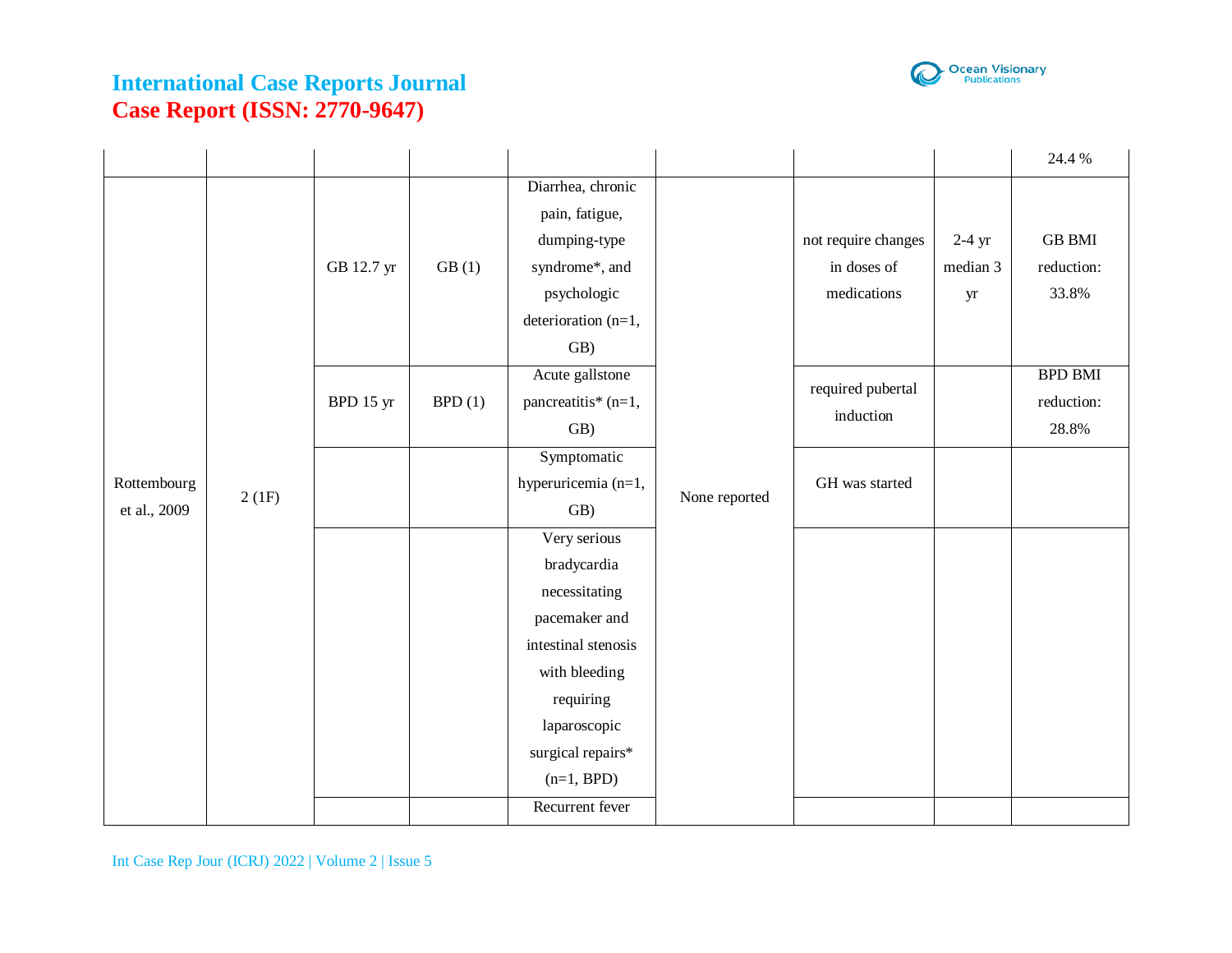

|                             |       |            |        |                     |               |                     |          | 24.4 %         |
|-----------------------------|-------|------------|--------|---------------------|---------------|---------------------|----------|----------------|
|                             |       |            |        | Diarrhea, chronic   |               |                     |          |                |
|                             |       |            |        | pain, fatigue,      |               |                     |          |                |
|                             |       |            |        | dumping-type        |               | not require changes | $2-4$ yr | <b>GB BMI</b>  |
|                             |       | GB 12.7 yr | GB(1)  | syndrome*, and      |               | in doses of         | median 3 | reduction:     |
|                             |       |            |        | psychologic         |               | medications         | yr       | 33.8%          |
|                             |       |            |        | deterioration (n=1, |               |                     |          |                |
|                             |       |            |        | GB)                 |               |                     |          |                |
|                             |       |            |        | Acute gallstone     |               | required pubertal   |          | <b>BPD BMI</b> |
|                             |       | BPD 15 yr  | BPD(1) | pancreatitis* (n=1, |               | induction           |          | reduction:     |
|                             |       |            |        | GB)                 |               |                     |          | 28.8%          |
| Rottembourg<br>et al., 2009 |       |            |        | Symptomatic         |               |                     |          |                |
|                             | 2(1F) |            |        | hyperuricemia (n=1, | None reported | GH was started      |          |                |
|                             |       |            |        | GB)                 |               |                     |          |                |
|                             |       |            |        | Very serious        |               |                     |          |                |
|                             |       |            |        | bradycardia         |               |                     |          |                |
|                             |       |            |        | necessitating       |               |                     |          |                |
|                             |       |            |        | pacemaker and       |               |                     |          |                |
|                             |       |            |        | intestinal stenosis |               |                     |          |                |
|                             |       |            |        | with bleeding       |               |                     |          |                |
|                             |       |            |        | requiring           |               |                     |          |                |
|                             |       |            |        | laparoscopic        |               |                     |          |                |
|                             |       |            |        | surgical repairs*   |               |                     |          |                |
|                             |       |            |        | $(n=1, BPD)$        |               |                     |          |                |
|                             |       |            |        | Recurrent fever     |               |                     |          |                |

Int Case Rep Jour (ICRJ) 2022 | Volume 2 | Issue 5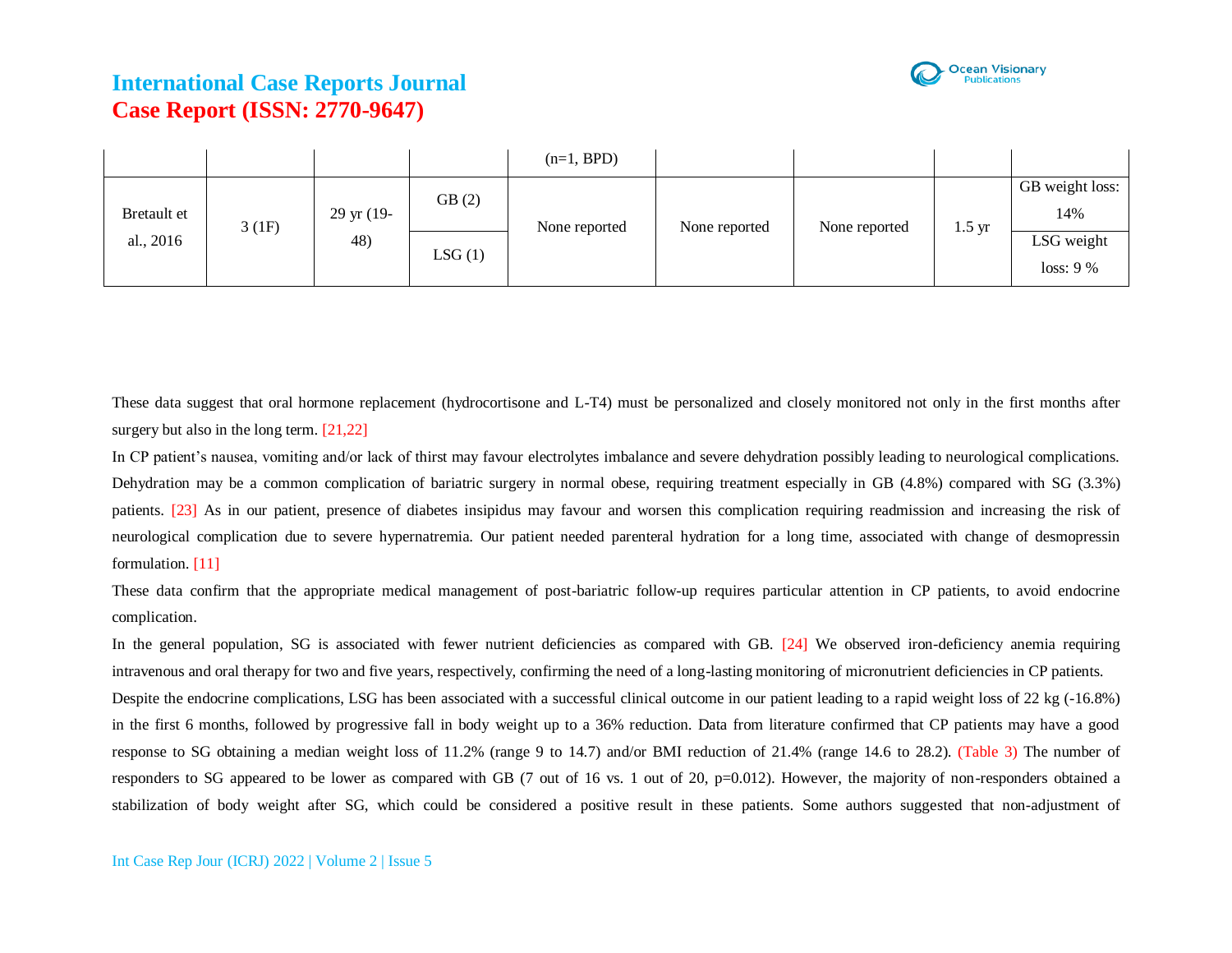

|                          |       |                             |        | $(n=1, BPD)$  |               |               |                  |                                      |
|--------------------------|-------|-----------------------------|--------|---------------|---------------|---------------|------------------|--------------------------------------|
| Bretault et<br>al., 2016 | 3(1F) | $29 \text{ yr}$ (19-<br>48) | GB(2)  | None reported | None reported | None reported | $1.5 \text{ yr}$ | GB weight loss:<br>14%<br>LSG weight |
|                          |       |                             | LSG(1) |               |               |               |                  | loss: 9%                             |

These data suggest that oral hormone replacement (hydrocortisone and L-T4) must be personalized and closely monitored not only in the first months after surgery but also in the long term. [21,22]

In CP patient's nausea, vomiting and/or lack of thirst may favour electrolytes imbalance and severe dehydration possibly leading to neurological complications. Dehydration may be a common complication of bariatric surgery in normal obese, requiring treatment especially in GB (4.8%) compared with SG (3.3%) patients. [23] As in our patient, presence of diabetes insipidus may favour and worsen this complication requiring readmission and increasing the risk of neurological complication due to severe hypernatremia. Our patient needed parenteral hydration for a long time, associated with change of desmopressin formulation. [11]

These data confirm that the appropriate medical management of post-bariatric follow-up requires particular attention in CP patients, to avoid endocrine complication.

In the general population, SG is associated with fewer nutrient deficiencies as compared with GB. [24] We observed iron-deficiency anemia requiring intravenous and oral therapy for two and five years, respectively, confirming the need of a long-lasting monitoring of micronutrient deficiencies in CP patients. Despite the endocrine complications, LSG has been associated with a successful clinical outcome in our patient leading to a rapid weight loss of 22 kg (-16.8%) in the first 6 months, followed by progressive fall in body weight up to a 36% reduction. Data from literature confirmed that CP patients may have a good response to SG obtaining a median weight loss of 11.2% (range 9 to 14.7) and/or BMI reduction of 21.4% (range 14.6 to 28.2). (Table 3) The number of responders to SG appeared to be lower as compared with GB (7 out of 16 vs. 1 out of 20, p=0.012). However, the majority of non-responders obtained a stabilization of body weight after SG, which could be considered a positive result in these patients. Some authors suggested that non-adjustment of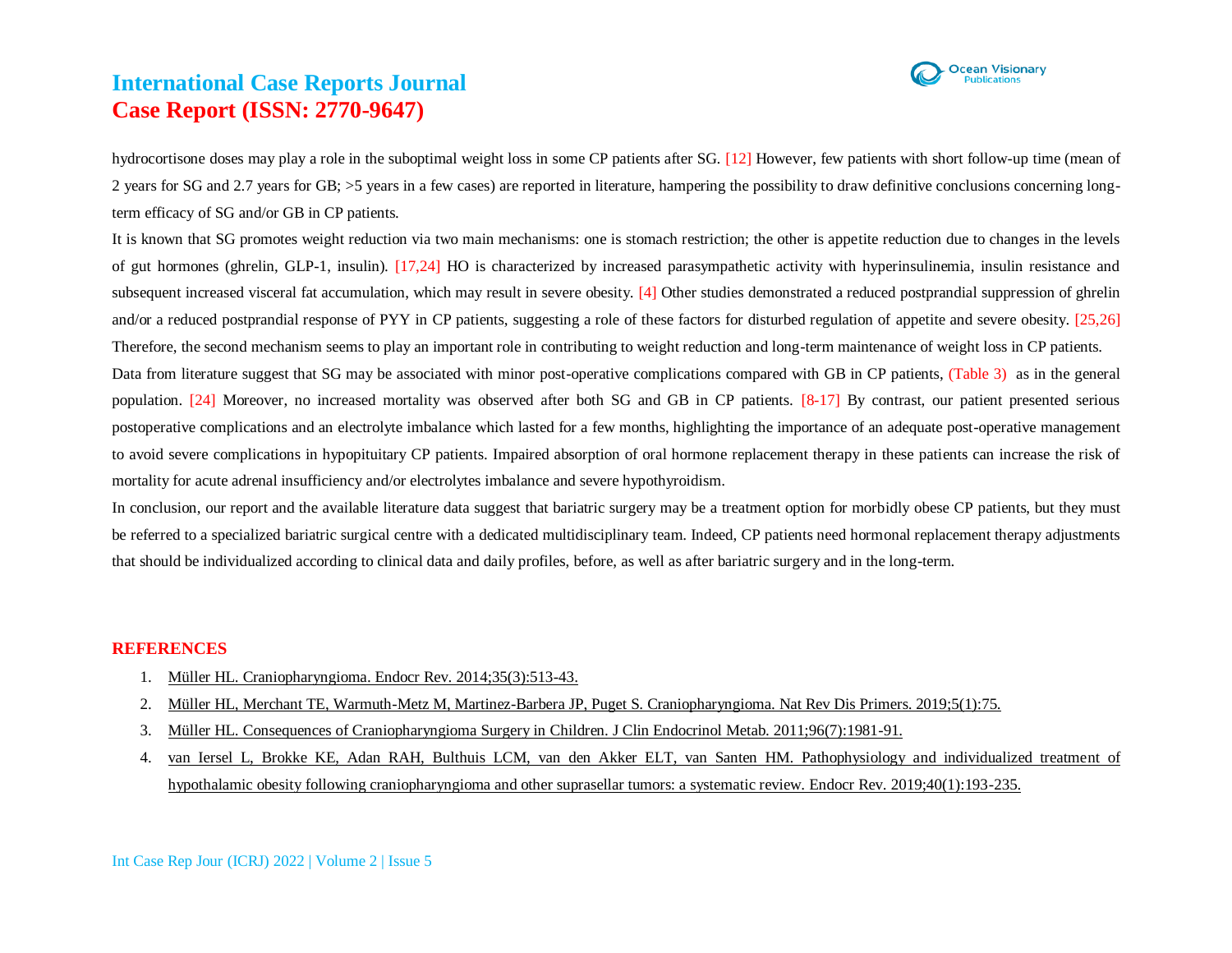

hydrocortisone doses may play a role in the suboptimal weight loss in some CP patients after SG. [12] However, few patients with short follow-up time (mean of 2 years for SG and 2.7 years for GB; >5 years in a few cases) are reported in literature, hampering the possibility to draw definitive conclusions concerning longterm efficacy of SG and/or GB in CP patients.

It is known that SG promotes weight reduction via two main mechanisms: one is stomach restriction; the other is appetite reduction due to changes in the levels of gut hormones (ghrelin, GLP-1, insulin). [17,24] HO is characterized by increased parasympathetic activity with hyperinsulinemia, insulin resistance and subsequent increased visceral fat accumulation, which may result in severe obesity. [4] Other studies demonstrated a reduced postprandial suppression of ghrelin and/or a reduced postprandial response of PYY in CP patients, suggesting a role of these factors for disturbed regulation of appetite and severe obesity. [25,26] Therefore, the second mechanism seems to play an important role in contributing to weight reduction and long-term maintenance of weight loss in CP patients. Data from literature suggest that SG may be associated with minor post-operative complications compared with GB in CP patients, (Table 3) as in the general population. [24] Moreover, no increased mortality was observed after both SG and GB in CP patients. [8-17] By contrast, our patient presented serious postoperative complications and an electrolyte imbalance which lasted for a few months, highlighting the importance of an adequate post-operative management to avoid severe complications in hypopituitary CP patients. Impaired absorption of oral hormone replacement therapy in these patients can increase the risk of

mortality for acute adrenal insufficiency and/or electrolytes imbalance and severe hypothyroidism.

In conclusion, our report and the available literature data suggest that bariatric surgery may be a treatment option for morbidly obese CP patients, but they must be referred to a specialized bariatric surgical centre with a dedicated multidisciplinary team. Indeed, CP patients need hormonal replacement therapy adjustments that should be individualized according to clinical data and daily profiles, before, as well as after bariatric surgery and in the long-term.

#### **REFERENCES**

- 1. [Müller HL. Craniopharyngioma. Endocr Rev. 2014;35\(3\):513-43.](https://pubmed.ncbi.nlm.nih.gov/24467716/)
- 2. [Müller HL, Merchant TE, Warmuth-Metz M, Martinez-Barbera JP, Puget S. Craniopharyngioma. Nat Rev Dis Primers. 2019;5\(1\):75.](https://pubmed.ncbi.nlm.nih.gov/31699993/)
- 3. [Müller HL. Consequences of Craniopharyngioma Surgery in Children. J Clin Endocrinol Metab. 2011;96\(7\):1981-91.](https://pubmed.ncbi.nlm.nih.gov/21508127/)
- 4. [van Iersel L, Brokke KE, Adan RAH, Bulthuis LCM, van den Akker ELT, van Santen HM. Pathophysiology and individualized treatment of](https://pubmed.ncbi.nlm.nih.gov/30247642/)  hypothalamic [obesity following craniopharyngioma and other suprasellar tumors: a systematic review. Endocr Rev. 2019;40\(1\):193-235.](https://pubmed.ncbi.nlm.nih.gov/30247642/)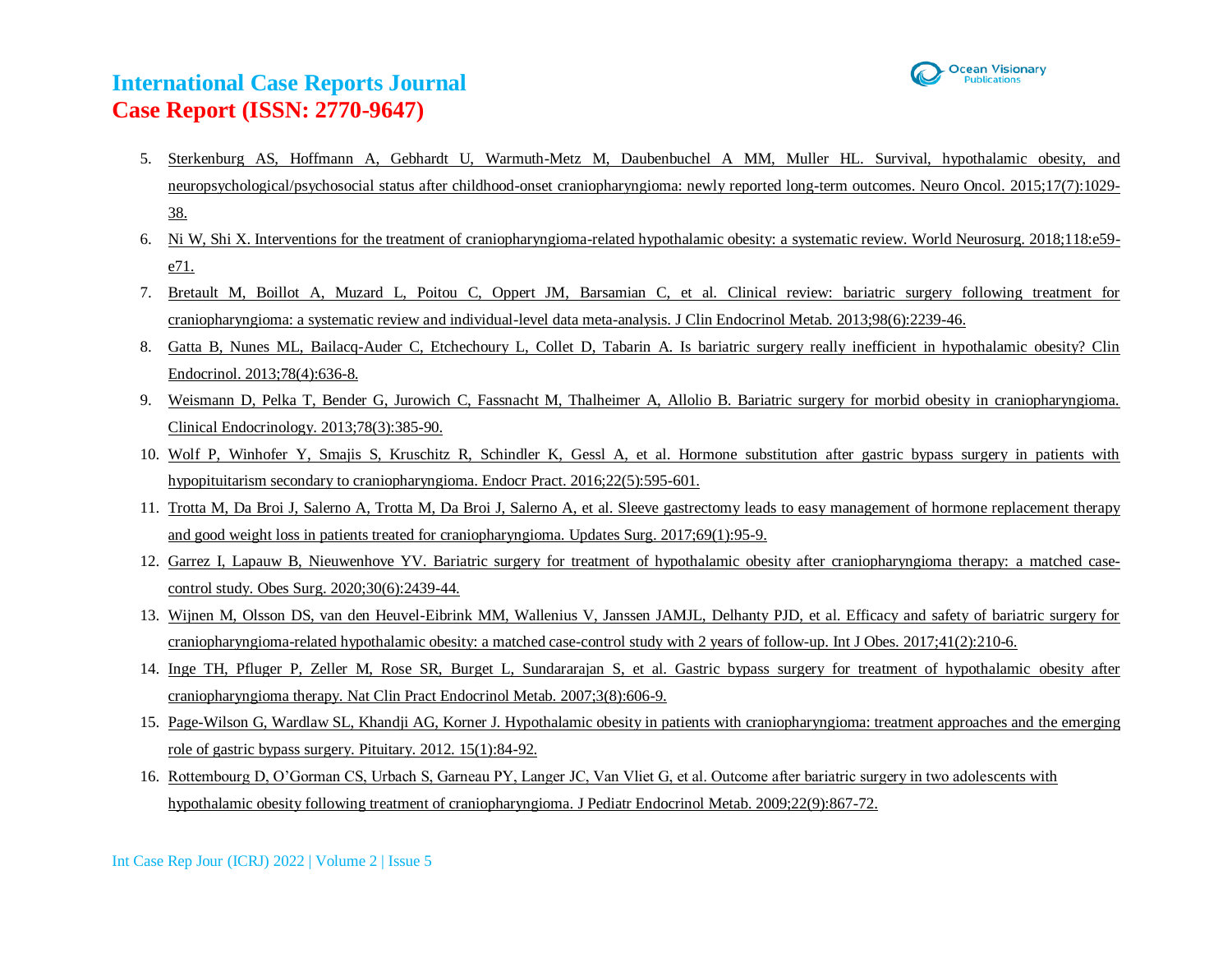

- 5. [Sterkenburg AS, Hoffmann A, Gebhardt U, Warmuth-Metz M, Daubenbuchel A MM, Muller HL. Survival, hypothalamic obesity, and](https://pubmed.ncbi.nlm.nih.gov/25838139/)  [neuropsychological/psychosocial status after childhood-onset craniopharyngioma: newly reported long-term outcomes. Neuro Oncol. 2015;17\(7\):1029-](https://pubmed.ncbi.nlm.nih.gov/25838139/) [38.](https://pubmed.ncbi.nlm.nih.gov/25838139/)
- 6. [Ni W, Shi X. Interventions for the treatment of craniopharyngioma-related hypothalamic obesity: a systematic review. World Neurosurg. 2018;118:e59](https://pubmed.ncbi.nlm.nih.gov/29945001/) [e71.](https://pubmed.ncbi.nlm.nih.gov/29945001/)
- 7. [Bretault M, Boillot A, Muzard L, Poitou C, Oppert JM, Barsamian C, et al. Clinical review: bariatric surgery following treatment for](https://pubmed.ncbi.nlm.nih.gov/23533238/)  [craniopharyngioma: a systematic review and individual-level data meta-analysis. J Clin Endocrinol Metab. 2013;98\(6\):2239-46.](https://pubmed.ncbi.nlm.nih.gov/23533238/)
- 8. [Gatta B, Nunes ML, Bailacq-Auder C, Etchechoury L, Collet D, Tabarin A. Is bariatric surgery really inefficient in hypothalamic obesity? Clin](https://pubmed.ncbi.nlm.nih.gov/22994633/)  [Endocrinol. 2013;78\(4\):636-8.](https://pubmed.ncbi.nlm.nih.gov/22994633/)
- 9. [Weismann D, Pelka T, Bender G, Jurowich C, Fassnacht M, Thalheimer A, Allolio B. Bariatric surgery for morbid obesity in craniopharyngioma.](https://pubmed.ncbi.nlm.nih.gov/22506774/)  [Clinical Endocrinology. 2013;78\(3\):385-90.](https://pubmed.ncbi.nlm.nih.gov/22506774/)
- 10. [Wolf P, Winhofer Y, Smajis S, Kruschitz R, Schindler K, Gessl A, et al. Hormone substitution after gastric bypass surgery in patients with](https://pubmed.ncbi.nlm.nih.gov/26789341/)  [hypopituitarism secondary to craniopharyngioma. Endocr Pract. 2016;22\(5\):595-601.](https://pubmed.ncbi.nlm.nih.gov/26789341/)
- 11. [Trotta M, Da Broi J, Salerno A, Trotta M, Da Broi J, Salerno A, et al. Sleeve gastrectomy leads to easy management of hormone replacement therapy](https://pubmed.ncbi.nlm.nih.gov/28260180/)  [and good weight loss in patients treated for craniopharyngioma. Updates Surg. 2017;69\(1\):95-9.](https://pubmed.ncbi.nlm.nih.gov/28260180/)
- 12. [Garrez I, Lapauw B, Nieuwenhove YV. Bariatric surgery for treatment of hypothalamic obesity after craniopharyngioma therapy: a matched case](https://pubmed.ncbi.nlm.nih.gov/31955372/)[control study. Obes Surg. 2020;30\(6\):2439-44.](https://pubmed.ncbi.nlm.nih.gov/31955372/)
- 13. [Wijnen M, Olsson DS, van den Heuvel-Eibrink MM, Wallenius V, Janssen JAMJL, Delhanty PJD, et al. Efficacy and safety of bariatric surgery for](https://pubmed.ncbi.nlm.nih.gov/27795552/)  [craniopharyngioma-related hypothalamic obesity: a matched case-control study with 2 years of follow-up. Int J Obes. 2017;41\(2\):210-6.](https://pubmed.ncbi.nlm.nih.gov/27795552/)
- 14. [Inge TH, Pfluger P, Zeller M, Rose SR, Burget L, Sundararajan S, et al. Gastric bypass surgery for treatment of hypothalamic obesity after](https://pubmed.ncbi.nlm.nih.gov/17643131/)  [craniopharyngioma therapy. Nat Clin Pract Endocrinol Metab. 2007;3\(8\):606-9.](https://pubmed.ncbi.nlm.nih.gov/17643131/)
- 15. [Page-Wilson G, Wardlaw SL, Khandji AG, Korner J. Hypothalamic obesity in patients with craniopharyngioma: treatment approaches and](https://pubmed.ncbi.nlm.nih.gov/21935755/) the emerging [role of gastric bypass surgery. Pituitary. 2012. 15\(1\):84-92.](https://pubmed.ncbi.nlm.nih.gov/21935755/)
- 16. [Rottembourg D, O'Gorman CS, Urbach S, Garneau PY, Langer JC, Van Vliet G, et al. Outcome after bariatric surgery in two adolescents](https://pubmed.ncbi.nlm.nih.gov/19960898/) with [hypothalamic obesity following treatment of craniopharyngioma. J Pediatr Endocrinol Metab. 2009;22\(9\):867-72.](https://pubmed.ncbi.nlm.nih.gov/19960898/)